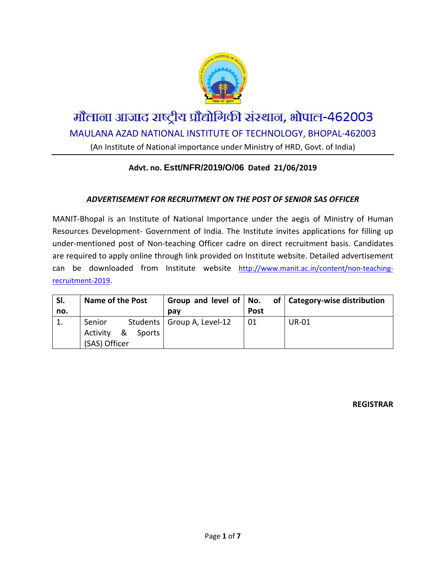

# मौलाना आजाद राष्ट्रीय प्रौद्योगिकी संस्थान, भोपाल-462003 MAULANA AZAD NATIONAL INSTITUTE OF TECHNOLOGY, BHOPAL-462003

(An Institute of National importance under Ministry of HRD, Govt. of India)

### **Advt. no. Estt/NFR/2019/O/06 Dated 21/06/2019**

#### *ADVERTISEMENT FOR RECRUITMENT ON THE POST OF SENIOR SAS OFFICER*

MANIT-Bhopal is an Institute of National Importance under the aegis of Ministry of Human Resources Development- Government of India. The Institute invites applications for filling up under-mentioned post of Non-teaching Officer cadre on direct recruitment basis. Candidates are required to apply online through link provided on Institute website. Detailed advertisement can be downloaded from Institute website [http://www.manit.ac.in/content/non-teaching](http://www.manit.ac.in/content/non-teaching-recruitment-2019)[recruitment-2019.](http://www.manit.ac.in/content/non-teaching-recruitment-2019)

| SI. | <b>Name of the Post</b>         |                              |             | Group and level of $\vert$ No. of $\vert$ Category-wise distribution |
|-----|---------------------------------|------------------------------|-------------|----------------------------------------------------------------------|
| no. |                                 | pay                          | <b>Post</b> |                                                                      |
|     | Senior                          | Students   Group A, Level-12 | 01          | <b>UR-01</b>                                                         |
|     | Activity<br>୍ଷ<br><b>Sports</b> |                              |             |                                                                      |
|     | (SAS) Officer                   |                              |             |                                                                      |

**REGISTRAR**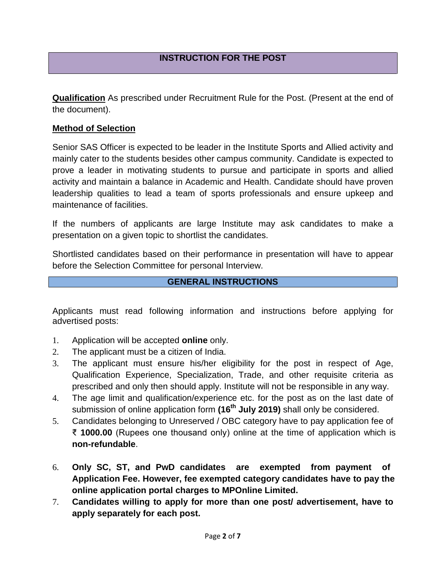**Qualification** As prescribed under Recruitment Rule for the Post. (Present at the end of the document).

#### **Method of Selection**

Senior SAS Officer is expected to be leader in the Institute Sports and Allied activity and mainly cater to the students besides other campus community. Candidate is expected to prove a leader in motivating students to pursue and participate in sports and allied activity and maintain a balance in Academic and Health. Candidate should have proven leadership qualities to lead a team of sports professionals and ensure upkeep and maintenance of facilities.

If the numbers of applicants are large Institute may ask candidates to make a presentation on a given topic to shortlist the candidates.

Shortlisted candidates based on their performance in presentation will have to appear before the Selection Committee for personal Interview.

#### **GENERAL INSTRUCTIONS**

Applicants must read following information and instructions before applying for advertised posts:

- 1. Application will be accepted **online** only.
- 2. The applicant must be a citizen of India.
- 3. The applicant must ensure his/her eligibility for the post in respect of Age, Qualification Experience, Specialization, Trade, and other requisite criteria as prescribed and only then should apply. Institute will not be responsible in any way.
- 4. The age limit and qualification/experience etc. for the post as on the last date of submission of online application form **(16th July 2019)** shall only be considered.
- 5. Candidates belonging to Unreserved / OBC category have to pay application fee of ₹ **1000.00** (Rupees one thousand only) online at the time of application which is **non-refundable**.
- 6. **Only SC, ST, and PwD candidates are exempted from payment of Application Fee. However, fee exempted category candidates have to pay the online application portal charges to MPOnline Limited.**
- 7. **Candidates willing to apply for more than one post/ advertisement, have to apply separately for each post.**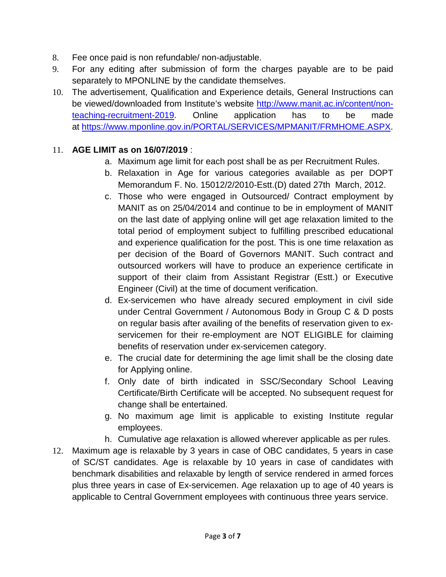- 8. Fee once paid is non refundable/ non-adjustable.
- 9. For any editing after submission of form the charges payable are to be paid separately to MPONLINE by the candidate themselves.
- 10. The advertisement, Qualification and Experience details, General Instructions can be viewed/downloaded from Institute's website [http://www.manit.ac.in/content/non](http://www.manit.ac.in/content/non-teaching-recruitment-2019)[teaching-recruitment-2019.](http://www.manit.ac.in/content/non-teaching-recruitment-2019) Online application has to be made at [https://www.mponline.gov.in/PORTAL/SERVICES/MPMANIT/FRMHOME.ASPX.](https://www.mponline.gov.in/PORTAL/SERVICES/MPMANIT/FRMHOME.ASPX)

## 11. **AGE LIMIT as on 16/07/2019** :

- a. Maximum age limit for each post shall be as per Recruitment Rules.
- b. Relaxation in Age for various categories available as per DOPT Memorandum F. No. 15012/2/2010-Estt.(D) dated 27th March, 2012.
- c. Those who were engaged in Outsourced/ Contract employment by MANIT as on 25/04/2014 and continue to be in employment of MANIT on the last date of applying online will get age relaxation limited to the total period of employment subject to fulfilling prescribed educational and experience qualification for the post. This is one time relaxation as per decision of the Board of Governors MANIT. Such contract and outsourced workers will have to produce an experience certificate in support of their claim from Assistant Registrar (Estt.) or Executive Engineer (Civil) at the time of document verification.
- d. Ex-servicemen who have already secured employment in civil side under Central Government / Autonomous Body in Group C & D posts on regular basis after availing of the benefits of reservation given to exservicemen for their re-employment are NOT ELIGIBLE for claiming benefits of reservation under ex-servicemen category.
- e. The crucial date for determining the age limit shall be the closing date for Applying online.
- f. Only date of birth indicated in SSC/Secondary School Leaving Certificate/Birth Certificate will be accepted. No subsequent request for change shall be entertained.
- g. No maximum age limit is applicable to existing Institute regular employees.
- h. Cumulative age relaxation is allowed wherever applicable as per rules.
- 12. Maximum age is relaxable by 3 years in case of OBC candidates, 5 years in case of SC/ST candidates. Age is relaxable by 10 years in case of candidates with benchmark disabilities and relaxable by length of service rendered in armed forces plus three years in case of Ex-servicemen. Age relaxation up to age of 40 years is applicable to Central Government employees with continuous three years service.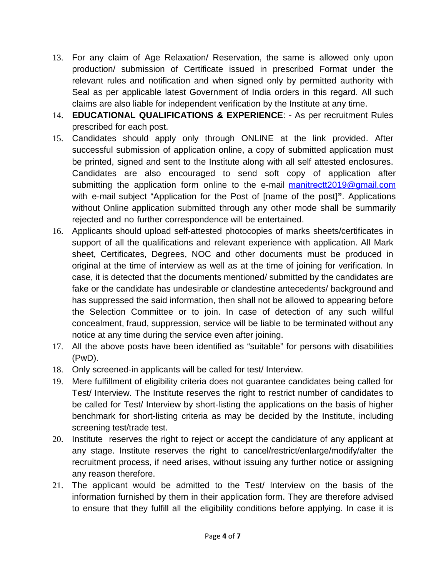- 13. For any claim of Age Relaxation/ Reservation, the same is allowed only upon production/ submission of Certificate issued in prescribed Format under the relevant rules and notification and when signed only by permitted authority with Seal as per applicable latest Government of India orders in this regard. All such claims are also liable for independent verification by the Institute at any time.
- 14. **EDUCATIONAL QUALIFICATIONS & EXPERIENCE**: As per recruitment Rules prescribed for each post.
- 15. Candidates should apply only through ONLINE at the link provided. After successful submission of application online, a copy of submitted application must be printed, signed and sent to the Institute along with all self attested enclosures. Candidates are also encouraged to send soft copy of application after submitting the application form online [to the e-mail](mailto:recruitment2019@gmail.com) manitrectt2019@gmail.com with e-mail subject "Application for the Post of [name of the post]**"**. Applications without Online application submitted through any other mode shall be summarily rejected and no further correspondence will be entertained.
- 16. Applicants should upload self-attested photocopies of marks sheets/certificates in support of all the qualifications and relevant experience with application. All Mark sheet, Certificates, Degrees, NOC and other documents must be produced in original at the time of interview as well as at the time of joining for verification. In case, it is detected that the documents mentioned/ submitted by the candidates are fake or the candidate has undesirable or clandestine antecedents/ background and has suppressed the said information, then shall not be allowed to appearing before the Selection Committee or to join. In case of detection of any such willful concealment, fraud, suppression, service will be liable to be terminated without any notice at any time during the service even after joining.
- 17. All the above posts have been identified as "suitable" for persons with disabilities (PwD).
- 18. Only screened-in applicants will be called for test/ Interview.
- 19. Mere fulfillment of eligibility criteria does not guarantee candidates being called for Test/ Interview. The Institute reserves the right to restrict number of candidates to be called for Test/ Interview by short-listing the applications on the basis of higher benchmark for short-listing criteria as may be decided by the Institute, including screening test/trade test.
- 20. Institute reserves the right to reject or accept the candidature of any applicant at any stage. Institute reserves the right to cancel/restrict/enlarge/modify/alter the recruitment process, if need arises, without issuing any further notice or assigning any reason therefore.
- 21. The applicant would be admitted to the Test/ Interview on the basis of the information furnished by them in their application form. They are therefore advised to ensure that they fulfill all the eligibility conditions before applying. In case it is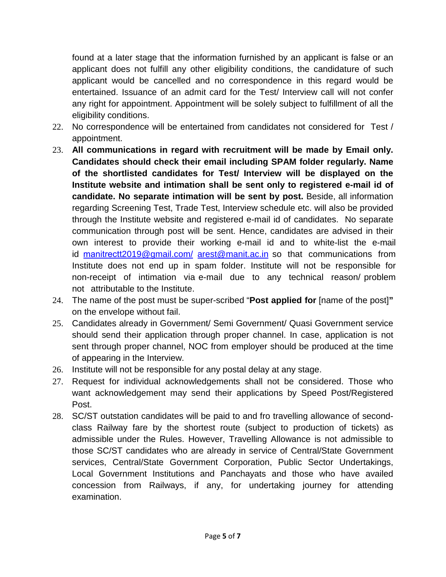found at a later stage that the information furnished by an applicant is false or an applicant does not fulfill any other eligibility conditions, the candidature of such applicant would be cancelled and no correspondence in this regard would be entertained. Issuance of an admit card for the Test/ Interview call will not confer any right for appointment. Appointment will be solely subject to fulfillment of all the eligibility conditions.

- 22. No correspondence will be entertained from candidates not considered for Test / appointment.
- 23. **All communications in regard with recruitment will be made by Email only. Candidates should check their email including SPAM folder regularly. Name of the shortlisted candidates for Test/ Interview will be displayed on the Institute website and intimation shall be sent only to registered e-mail id of candidate. No separate intimation will be sent by post.** Beside, all information regarding Screening Test, Trade Test, Interview schedule etc. will also be provided through the Institute website and registered e-mail id of candidates. No separate communication through post will be sent. Hence, candidates are advised in their own interest to provide their working e-mail id and to white-list the e-mail id manitrectt[2019@gmail.com/](mailto:recruitment2019@gmail.com/) [arest@manit.ac.in](mailto:arest@manit.ac.in) so that communications from Institute does not end up in spam folder. Institute will not be responsible for non-receipt of intimation via e-mail due to any technical reason/ problem not attributable to the Institute.
- 24. The name of the post must be super-scribed "**Post applied for** [name of the post]**"** on the envelope without fail.
- 25. Candidates already in Government/ Semi Government/ Quasi Government service should send their application through proper channel. In case, application is not sent through proper channel, NOC from employer should be produced at the time of appearing in the Interview.
- 26. Institute will not be responsible for any postal delay at any stage.
- 27. Request for individual acknowledgements shall not be considered. Those who want acknowledgement may send their applications by Speed Post/Registered Post.
- 28. SC/ST outstation candidates will be paid to and fro travelling allowance of secondclass Railway fare by the shortest route (subject to production of tickets) as admissible under the Rules. However, Travelling Allowance is not admissible to those SC/ST candidates who are already in service of Central/State Government services, Central/State Government Corporation, Public Sector Undertakings, Local Government Institutions and Panchayats and those who have availed concession from Railways, if any, for undertaking journey for attending examination.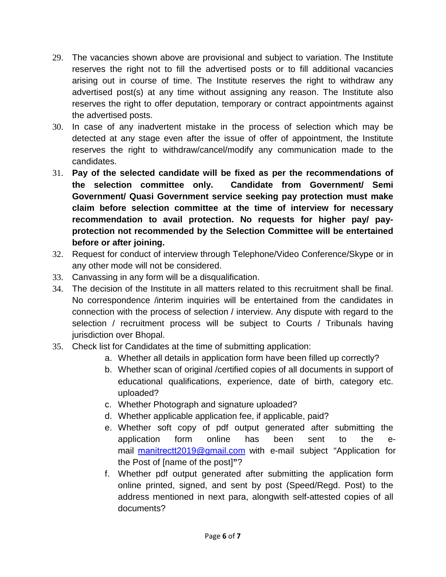- 29. The vacancies shown above are provisional and subject to variation. The Institute reserves the right not to fill the advertised posts or to fill additional vacancies arising out in course of time. The Institute reserves the right to withdraw any advertised post(s) at any time without assigning any reason. The Institute also reserves the right to offer deputation, temporary or contract appointments against the advertised posts.
- 30. In case of any inadvertent mistake in the process of selection which may be detected at any stage even after the issue of offer of appointment, the Institute reserves the right to withdraw/cancel/modify any communication made to the candidates.
- 31. **Pay of the selected candidate will be fixed as per the recommendations of the selection committee only. Candidate from Government/ Semi Government/ Quasi Government service seeking pay protection must make claim before selection committee at the time of interview for necessary recommendation to avail protection. No requests for higher pay/ payprotection not recommended by the Selection Committee will be entertained before or after joining.**
- 32. Request for conduct of interview through Telephone/Video Conference/Skype or in any other mode will not be considered.
- 33. Canvassing in any form will be a disqualification.
- 34. The decision of the Institute in all matters related to this recruitment shall be final. No correspondence /interim inquiries will be entertained from the candidates in connection with the process of selection / interview. Any dispute with regard to the selection / recruitment process will be subject to Courts / Tribunals having jurisdiction over Bhopal.
- 35. Check list for Candidates at the time of submitting application:
	- a. Whether all details in application form have been filled up correctly?
	- b. Whether scan of original /certified copies of all documents in support of educational qualifications, experience, date of birth, category etc. uploaded?
	- c. Whether Photograph and signature uploaded?
	- d. Whether applicable application fee, if applicable, paid?
	- e. Whether soft copy of pdf output generated after submitting the application form online has been sent to the email manitrectt[2019@gmail.com](mailto:recruitment2019@gmail.com) with e-mail subject "Application for the Post of [name of the post]**"**?
	- f. Whether pdf output generated after submitting the application form online printed, signed, and sent by post (Speed/Regd. Post) to the address mentioned in next para, alongwith self-attested copies of all documents?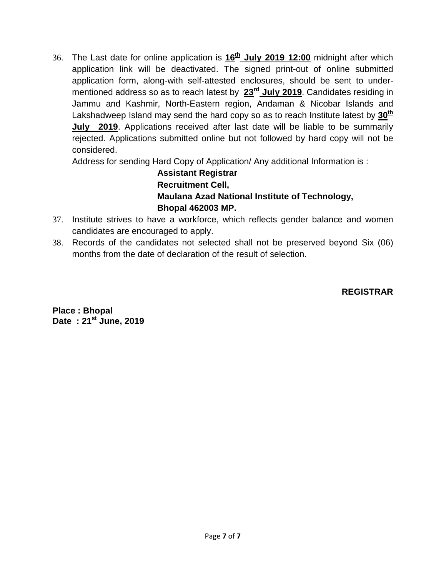36. The Last date for online application is **16th July 2019 12:00** midnight after which application link will be deactivated. The signed print-out of online submitted application form, along-with self-attested enclosures, should be sent to undermentioned address so as to reach latest by **23rd July 2019**. Candidates residing in Jammu and Kashmir, North-Eastern region, Andaman & Nicobar Islands and Lakshadweep Island may send the hard copy so as to reach Institute latest by  $30<sup>th</sup>$ **July 2019**. Applications received after last date will be liable to be summarily rejected. Applications submitted online but not followed by hard copy will not be considered.

Address for sending Hard Copy of Application/ Any additional Information is :

**Assistant Registrar Recruitment Cell, Maulana Azad National Institute of Technology, Bhopal 462003 MP.**

- 37. Institute strives to have a workforce, which reflects gender balance and women candidates are encouraged to apply.
- 38. Records of the candidates not selected shall not be preserved beyond Six (06) months from the date of declaration of the result of selection.

**REGISTRAR**

**Place : Bhopal Date : 21st June, 2019**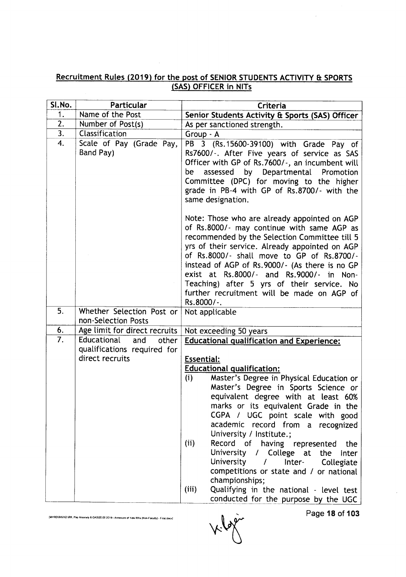#### Recruitment Rules (2019) for the post of SENIOR STUDENTS ACTIVITY & SPORTS <u>SAS) OFFICER in NIT</u>

| Sl.No. | Particular                                       | Criteria                                                                                                                                                                                                                                                                                                                                                                                                                                            |  |
|--------|--------------------------------------------------|-----------------------------------------------------------------------------------------------------------------------------------------------------------------------------------------------------------------------------------------------------------------------------------------------------------------------------------------------------------------------------------------------------------------------------------------------------|--|
| 1.     | Name of the Post                                 | Senior Students Activity & Sports (SAS) Officer                                                                                                                                                                                                                                                                                                                                                                                                     |  |
| 2.     | Number of Post(s)                                | As per sanctioned strength.                                                                                                                                                                                                                                                                                                                                                                                                                         |  |
| 3.     | Classification                                   | Group - A                                                                                                                                                                                                                                                                                                                                                                                                                                           |  |
| 4.     | Scale of Pay (Grade Pay,<br>Band Pay)            | PB 3 (Rs.15600-39100) with Grade Pay of<br>Rs7600/-. After Five years of service as SAS<br>Officer with GP of Rs.7600/-, an incumbent will<br>assessed<br>by Departmental Promotion<br>be<br>Committee (DPC) for moving to the higher<br>grade in PB-4 with GP of Rs.8700/- with the<br>same designation.                                                                                                                                           |  |
|        |                                                  | Note: Those who are already appointed on AGP<br>of Rs.8000/- may continue with same AGP as<br>recommended by the Selection Committee till 5<br>yrs of their service. Already appointed on AGP<br>of Rs.8000/- shall move to GP of Rs.8700/-<br>instead of AGP of Rs.9000/- (As there is no GP<br>exist at Rs.8000/- and Rs.9000/- in Non-<br>Teaching) after 5 yrs of their service. No<br>further recruitment will be made on AGP of<br>Rs.8000/-. |  |
| 5.     | Whether Selection Post or<br>non-Selection Posts | Not applicable                                                                                                                                                                                                                                                                                                                                                                                                                                      |  |
| 6.     | Age limit for direct recruits                    | Not exceeding 50 years                                                                                                                                                                                                                                                                                                                                                                                                                              |  |
| 7.     | Educational<br>and<br>other                      | <b>Educational qualification and Experience:</b>                                                                                                                                                                                                                                                                                                                                                                                                    |  |
|        | qualifications required for<br>direct recruits   |                                                                                                                                                                                                                                                                                                                                                                                                                                                     |  |
|        |                                                  | <b>Essential:</b>                                                                                                                                                                                                                                                                                                                                                                                                                                   |  |
|        |                                                  | <b>Educational qualification:</b><br>(i)<br>Master's Degree in Physical Education or                                                                                                                                                                                                                                                                                                                                                                |  |
|        |                                                  | Master's Degree in Sports Science or                                                                                                                                                                                                                                                                                                                                                                                                                |  |
|        |                                                  | equivalent degree with at least 60%                                                                                                                                                                                                                                                                                                                                                                                                                 |  |
|        |                                                  | marks or its equivalent Grade in the                                                                                                                                                                                                                                                                                                                                                                                                                |  |
|        |                                                  | CGPA / UGC point scale with good                                                                                                                                                                                                                                                                                                                                                                                                                    |  |
|        |                                                  | academic record from a recognized                                                                                                                                                                                                                                                                                                                                                                                                                   |  |
|        |                                                  | University / Institute.;                                                                                                                                                                                                                                                                                                                                                                                                                            |  |
|        |                                                  | Record of having represented<br>(i)<br>the                                                                                                                                                                                                                                                                                                                                                                                                          |  |
|        |                                                  | University / College at the<br>Inter                                                                                                                                                                                                                                                                                                                                                                                                                |  |
|        |                                                  | University / Inter- Collegiate                                                                                                                                                                                                                                                                                                                                                                                                                      |  |
|        |                                                  | competitions or state and / or national                                                                                                                                                                                                                                                                                                                                                                                                             |  |
|        |                                                  | championships;<br>(iii)<br>Qualifying in the national - level test                                                                                                                                                                                                                                                                                                                                                                                  |  |
|        |                                                  | conducted for the purpose by the UGC                                                                                                                                                                                                                                                                                                                                                                                                                |  |

(MHRO\RAVI\D:\RR, Pay Anomaly & CAS\20.02.2019 - Annexure of Now RRs (Non-Faculty) - Final.docx}

 $\sqrt{r}$ 

Page 18 of 103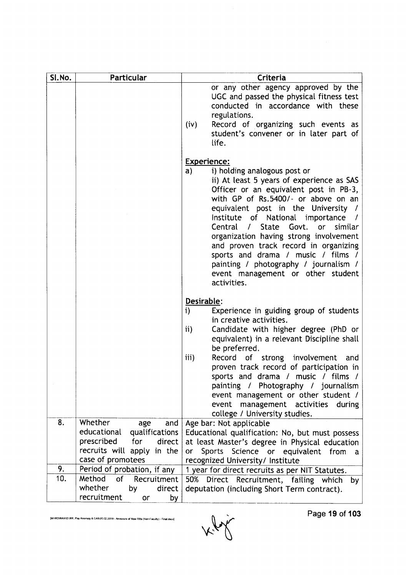| SI.No. | Particular                                                                                                                               | Criteria                                                                                                                                                                                                                                                                                                                                                                                                                                                                                                                                       |
|--------|------------------------------------------------------------------------------------------------------------------------------------------|------------------------------------------------------------------------------------------------------------------------------------------------------------------------------------------------------------------------------------------------------------------------------------------------------------------------------------------------------------------------------------------------------------------------------------------------------------------------------------------------------------------------------------------------|
|        |                                                                                                                                          | or any other agency approved by the<br>UGC and passed the physical fitness test<br>conducted in accordance with these<br>regulations.<br>Record of organizing such events as<br>(iv)<br>student's convener or in later part of<br>life.                                                                                                                                                                                                                                                                                                        |
|        |                                                                                                                                          | <b>Experience:</b><br>i) holding analogous post or<br>a)<br>ii) At least 5 years of experience as SAS<br>Officer or an equivalent post in PB-3,<br>with GP of Rs.5400/- or above on an<br>equivalent post in the University /<br>Institute of National importance<br>Central /<br><b>State</b><br>Govt.<br>similar<br>or<br>organization having strong involvement<br>and proven track record in organizing<br>sports and drama / music / films /<br>painting / photography / journalism /<br>event management or other student<br>activities. |
|        |                                                                                                                                          | Desirable:<br>Experience in guiding group of students<br>i)<br>in creative activities.<br>Candidate with higher degree (PhD or<br>ii)<br>equivalent) in a relevant Discipline shall<br>be preferred.<br>iii)<br>Record of strong involvement<br>and<br>proven track record of participation in<br>sports and drama / music / films /<br>painting / Photography / journalism<br>event management or other student /                                                                                                                             |
|        |                                                                                                                                          | management activities<br>event<br>during<br>college / University studies.                                                                                                                                                                                                                                                                                                                                                                                                                                                                      |
| 8.     | Whether<br>age<br>and<br>educational<br>qualifications<br>prescribed<br>for<br>direct<br>recruits will apply in the<br>case of promotees | Age bar: Not applicable<br>Educational qualification: No, but must possess<br>at least Master's degree in Physical education<br>Sports Science or equivalent from<br>or<br>a<br>recognized University/ Institute                                                                                                                                                                                                                                                                                                                               |
| 9.     | Period of probation, if any                                                                                                              | 1 year for direct recruits as per NIT Statutes.                                                                                                                                                                                                                                                                                                                                                                                                                                                                                                |
| 10.    | Method<br>of<br>Recruitment<br>whether<br>by<br>direct<br>recruitment<br>by<br>or                                                        | Direct Recruitment, failing which<br>50%<br>by<br>deputation (including Short Term contract).                                                                                                                                                                                                                                                                                                                                                                                                                                                  |

Kly

[MHRD\RAVI\D:\RR, Pay Anomaly & CAS\20.02.2019 - Annexure of New RRs (Non-Faculty) - Final.docx]